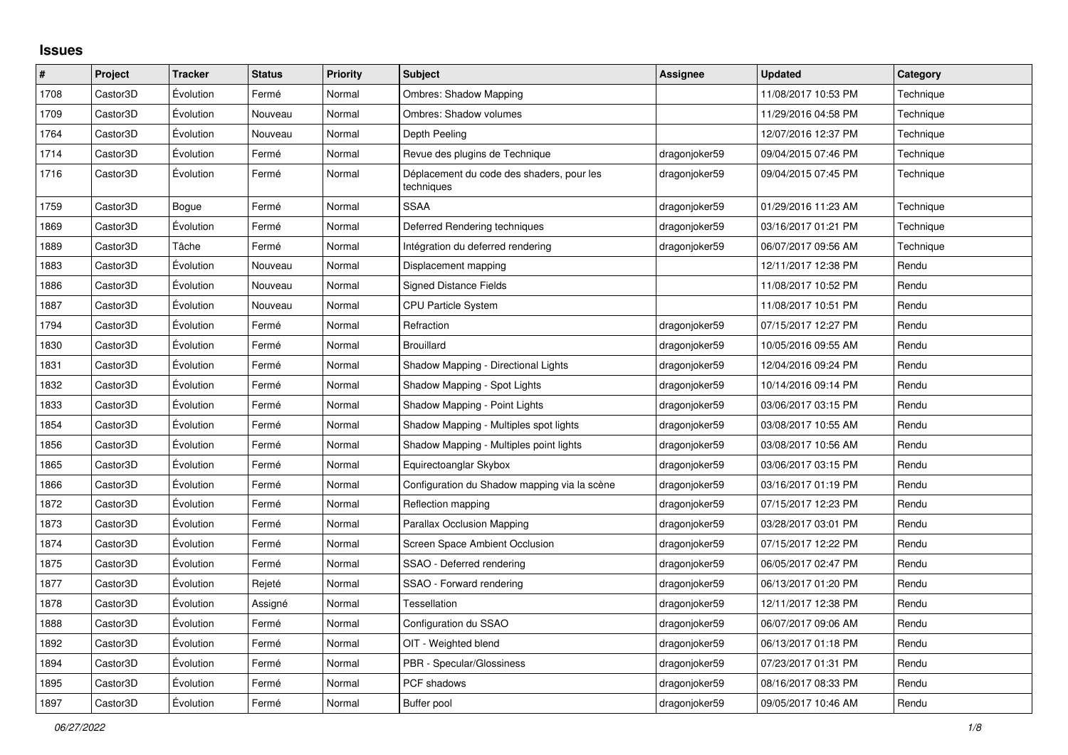## **Issues**

| $\vert$ # | Project  | <b>Tracker</b> | <b>Status</b> | <b>Priority</b> | <b>Subject</b>                                          | <b>Assignee</b> | <b>Updated</b>      | Category  |
|-----------|----------|----------------|---------------|-----------------|---------------------------------------------------------|-----------------|---------------------|-----------|
| 1708      | Castor3D | Évolution      | Fermé         | Normal          | <b>Ombres: Shadow Mapping</b>                           |                 | 11/08/2017 10:53 PM | Technique |
| 1709      | Castor3D | Évolution      | Nouveau       | Normal          | Ombres: Shadow volumes                                  |                 | 11/29/2016 04:58 PM | Technique |
| 1764      | Castor3D | Évolution      | Nouveau       | Normal          | Depth Peeling                                           |                 | 12/07/2016 12:37 PM | Technique |
| 1714      | Castor3D | Évolution      | Fermé         | Normal          | Revue des plugins de Technique                          | dragonjoker59   | 09/04/2015 07:46 PM | Technique |
| 1716      | Castor3D | Evolution      | Fermé         | Normal          | Déplacement du code des shaders, pour les<br>techniques | dragonjoker59   | 09/04/2015 07:45 PM | Technique |
| 1759      | Castor3D | Bogue          | Fermé         | Normal          | <b>SSAA</b>                                             | dragonjoker59   | 01/29/2016 11:23 AM | Technique |
| 1869      | Castor3D | Évolution      | Fermé         | Normal          | Deferred Rendering techniques                           | dragonjoker59   | 03/16/2017 01:21 PM | Technique |
| 1889      | Castor3D | Tâche          | Fermé         | Normal          | Intégration du deferred rendering                       | dragonjoker59   | 06/07/2017 09:56 AM | Technique |
| 1883      | Castor3D | Évolution      | Nouveau       | Normal          | Displacement mapping                                    |                 | 12/11/2017 12:38 PM | Rendu     |
| 1886      | Castor3D | Évolution      | Nouveau       | Normal          | <b>Signed Distance Fields</b>                           |                 | 11/08/2017 10:52 PM | Rendu     |
| 1887      | Castor3D | Évolution      | Nouveau       | Normal          | <b>CPU Particle System</b>                              |                 | 11/08/2017 10:51 PM | Rendu     |
| 1794      | Castor3D | Évolution      | Fermé         | Normal          | Refraction                                              | dragonjoker59   | 07/15/2017 12:27 PM | Rendu     |
| 1830      | Castor3D | Évolution      | Fermé         | Normal          | <b>Brouillard</b>                                       | dragonjoker59   | 10/05/2016 09:55 AM | Rendu     |
| 1831      | Castor3D | Évolution      | Fermé         | Normal          | Shadow Mapping - Directional Lights                     | dragonjoker59   | 12/04/2016 09:24 PM | Rendu     |
| 1832      | Castor3D | Évolution      | Fermé         | Normal          | Shadow Mapping - Spot Lights                            | dragonjoker59   | 10/14/2016 09:14 PM | Rendu     |
| 1833      | Castor3D | Évolution      | Fermé         | Normal          | Shadow Mapping - Point Lights                           | dragonjoker59   | 03/06/2017 03:15 PM | Rendu     |
| 1854      | Castor3D | Évolution      | Fermé         | Normal          | Shadow Mapping - Multiples spot lights                  | dragonjoker59   | 03/08/2017 10:55 AM | Rendu     |
| 1856      | Castor3D | Évolution      | Fermé         | Normal          | Shadow Mapping - Multiples point lights                 | dragonjoker59   | 03/08/2017 10:56 AM | Rendu     |
| 1865      | Castor3D | Évolution      | Fermé         | Normal          | Equirectoanglar Skybox                                  | dragonjoker59   | 03/06/2017 03:15 PM | Rendu     |
| 1866      | Castor3D | Évolution      | Fermé         | Normal          | Configuration du Shadow mapping via la scène            | dragonjoker59   | 03/16/2017 01:19 PM | Rendu     |
| 1872      | Castor3D | Évolution      | Fermé         | Normal          | Reflection mapping                                      | dragonjoker59   | 07/15/2017 12:23 PM | Rendu     |
| 1873      | Castor3D | Évolution      | Fermé         | Normal          | Parallax Occlusion Mapping                              | dragonjoker59   | 03/28/2017 03:01 PM | Rendu     |
| 1874      | Castor3D | Évolution      | Fermé         | Normal          | Screen Space Ambient Occlusion                          | dragonjoker59   | 07/15/2017 12:22 PM | Rendu     |
| 1875      | Castor3D | Évolution      | Fermé         | Normal          | SSAO - Deferred rendering                               | dragonjoker59   | 06/05/2017 02:47 PM | Rendu     |
| 1877      | Castor3D | Évolution      | Rejeté        | Normal          | SSAO - Forward rendering                                | dragonjoker59   | 06/13/2017 01:20 PM | Rendu     |
| 1878      | Castor3D | Évolution      | Assigné       | Normal          | Tessellation                                            | dragonjoker59   | 12/11/2017 12:38 PM | Rendu     |
| 1888      | Castor3D | Évolution      | Fermé         | Normal          | Configuration du SSAO                                   | dragonjoker59   | 06/07/2017 09:06 AM | Rendu     |
| 1892      | Castor3D | Évolution      | Fermé         | Normal          | OIT - Weighted blend                                    | dragonjoker59   | 06/13/2017 01:18 PM | Rendu     |
| 1894      | Castor3D | Évolution      | Fermé         | Normal          | PBR - Specular/Glossiness                               | dragonjoker59   | 07/23/2017 01:31 PM | Rendu     |
| 1895      | Castor3D | Évolution      | Fermé         | Normal          | PCF shadows                                             | dragonjoker59   | 08/16/2017 08:33 PM | Rendu     |
| 1897      | Castor3D | Évolution      | Fermé         | Normal          | Buffer pool                                             | dragonjoker59   | 09/05/2017 10:46 AM | Rendu     |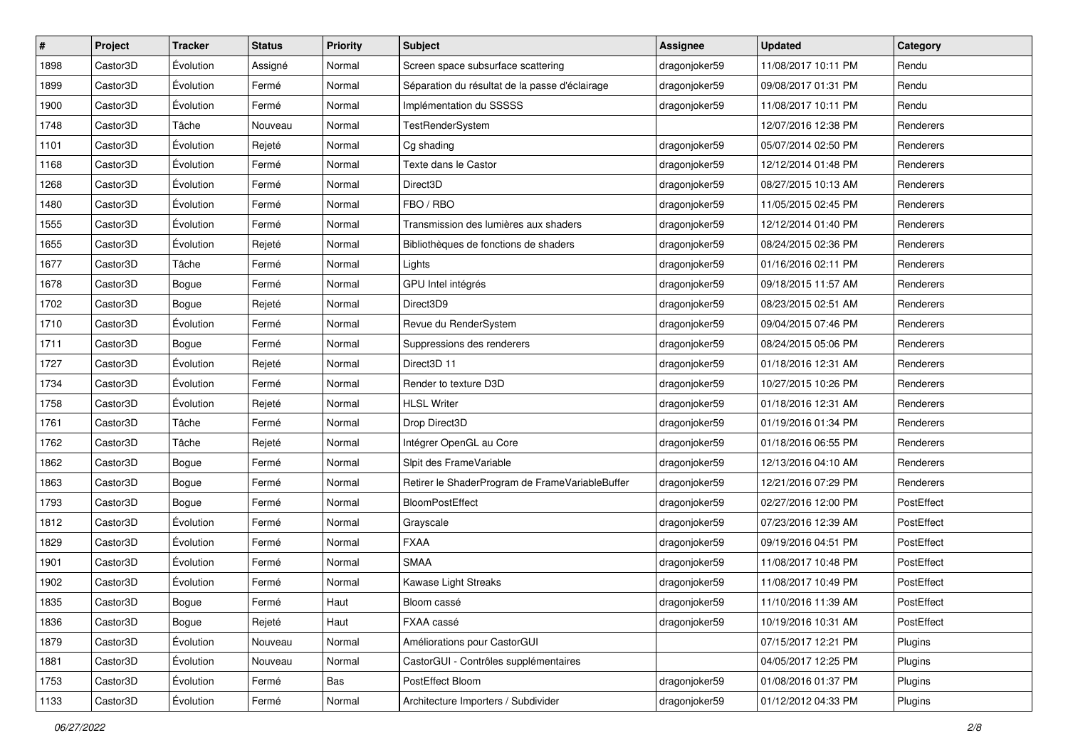| #    | Project  | <b>Tracker</b> | <b>Status</b> | <b>Priority</b> | Subject                                         | <b>Assignee</b> | <b>Updated</b>      | Category   |
|------|----------|----------------|---------------|-----------------|-------------------------------------------------|-----------------|---------------------|------------|
| 1898 | Castor3D | Évolution      | Assigné       | Normal          | Screen space subsurface scattering              | dragonjoker59   | 11/08/2017 10:11 PM | Rendu      |
| 1899 | Castor3D | Évolution      | Fermé         | Normal          | Séparation du résultat de la passe d'éclairage  | dragonjoker59   | 09/08/2017 01:31 PM | Rendu      |
| 1900 | Castor3D | Évolution      | Fermé         | Normal          | Implémentation du SSSSS                         | dragonjoker59   | 11/08/2017 10:11 PM | Rendu      |
| 1748 | Castor3D | Tâche          | Nouveau       | Normal          | <b>TestRenderSystem</b>                         |                 | 12/07/2016 12:38 PM | Renderers  |
| 1101 | Castor3D | Évolution      | Rejeté        | Normal          | Cg shading                                      | dragonjoker59   | 05/07/2014 02:50 PM | Renderers  |
| 1168 | Castor3D | Évolution      | Fermé         | Normal          | Texte dans le Castor                            | dragonjoker59   | 12/12/2014 01:48 PM | Renderers  |
| 1268 | Castor3D | Évolution      | Fermé         | Normal          | Direct3D                                        | dragonjoker59   | 08/27/2015 10:13 AM | Renderers  |
| 1480 | Castor3D | Évolution      | Fermé         | Normal          | FBO / RBO                                       | dragonjoker59   | 11/05/2015 02:45 PM | Renderers  |
| 1555 | Castor3D | Évolution      | Fermé         | Normal          | Transmission des lumières aux shaders           | dragonjoker59   | 12/12/2014 01:40 PM | Renderers  |
| 1655 | Castor3D | Évolution      | Rejeté        | Normal          | Bibliothèques de fonctions de shaders           | dragonjoker59   | 08/24/2015 02:36 PM | Renderers  |
| 1677 | Castor3D | Tâche          | Fermé         | Normal          | Lights                                          | dragonjoker59   | 01/16/2016 02:11 PM | Renderers  |
| 1678 | Castor3D | Bogue          | Fermé         | Normal          | GPU Intel intégrés                              | dragonjoker59   | 09/18/2015 11:57 AM | Renderers  |
| 1702 | Castor3D | Bogue          | Rejeté        | Normal          | Direct3D9                                       | dragonjoker59   | 08/23/2015 02:51 AM | Renderers  |
| 1710 | Castor3D | Évolution      | Fermé         | Normal          | Revue du RenderSystem                           | dragonjoker59   | 09/04/2015 07:46 PM | Renderers  |
| 1711 | Castor3D | Bogue          | Fermé         | Normal          | Suppressions des renderers                      | dragonjoker59   | 08/24/2015 05:06 PM | Renderers  |
| 1727 | Castor3D | Évolution      | Rejeté        | Normal          | Direct <sub>3</sub> D <sub>11</sub>             | dragonjoker59   | 01/18/2016 12:31 AM | Renderers  |
| 1734 | Castor3D | Évolution      | Fermé         | Normal          | Render to texture D3D                           | dragonjoker59   | 10/27/2015 10:26 PM | Renderers  |
| 1758 | Castor3D | Évolution      | Rejeté        | Normal          | <b>HLSL Writer</b>                              | dragonjoker59   | 01/18/2016 12:31 AM | Renderers  |
| 1761 | Castor3D | Tâche          | Fermé         | Normal          | Drop Direct3D                                   | dragonjoker59   | 01/19/2016 01:34 PM | Renderers  |
| 1762 | Castor3D | Tâche          | Rejeté        | Normal          | Intégrer OpenGL au Core                         | dragonjoker59   | 01/18/2016 06:55 PM | Renderers  |
| 1862 | Castor3D | Bogue          | Fermé         | Normal          | Slpit des FrameVariable                         | dragonjoker59   | 12/13/2016 04:10 AM | Renderers  |
| 1863 | Castor3D | Bogue          | Fermé         | Normal          | Retirer le ShaderProgram de FrameVariableBuffer | dragonjoker59   | 12/21/2016 07:29 PM | Renderers  |
| 1793 | Castor3D | Bogue          | Fermé         | Normal          | <b>BloomPostEffect</b>                          | dragonjoker59   | 02/27/2016 12:00 PM | PostEffect |
| 1812 | Castor3D | Évolution      | Fermé         | Normal          | Grayscale                                       | dragonjoker59   | 07/23/2016 12:39 AM | PostEffect |
| 1829 | Castor3D | Évolution      | Fermé         | Normal          | <b>FXAA</b>                                     | dragonjoker59   | 09/19/2016 04:51 PM | PostEffect |
| 1901 | Castor3D | Évolution      | Fermé         | Normal          | <b>SMAA</b>                                     | dragonjoker59   | 11/08/2017 10:48 PM | PostEffect |
| 1902 | Castor3D | Évolution      | Fermé         | Normal          | Kawase Light Streaks                            | dragonjoker59   | 11/08/2017 10:49 PM | PostEffect |
| 1835 | Castor3D | Bogue          | Fermé         | Haut            | Bloom cassé                                     | dragonjoker59   | 11/10/2016 11:39 AM | PostEffect |
| 1836 | Castor3D | Bogue          | Rejeté        | Haut            | FXAA cassé                                      | dragonjoker59   | 10/19/2016 10:31 AM | PostEffect |
| 1879 | Castor3D | Évolution      | Nouveau       | Normal          | Améliorations pour CastorGUI                    |                 | 07/15/2017 12:21 PM | Plugins    |
| 1881 | Castor3D | Évolution      | Nouveau       | Normal          | CastorGUI - Contrôles supplémentaires           |                 | 04/05/2017 12:25 PM | Plugins    |
| 1753 | Castor3D | Évolution      | Fermé         | Bas             | PostEffect Bloom                                | dragonjoker59   | 01/08/2016 01:37 PM | Plugins    |
| 1133 | Castor3D | Évolution      | Fermé         | Normal          | Architecture Importers / Subdivider             | dragonjoker59   | 01/12/2012 04:33 PM | Plugins    |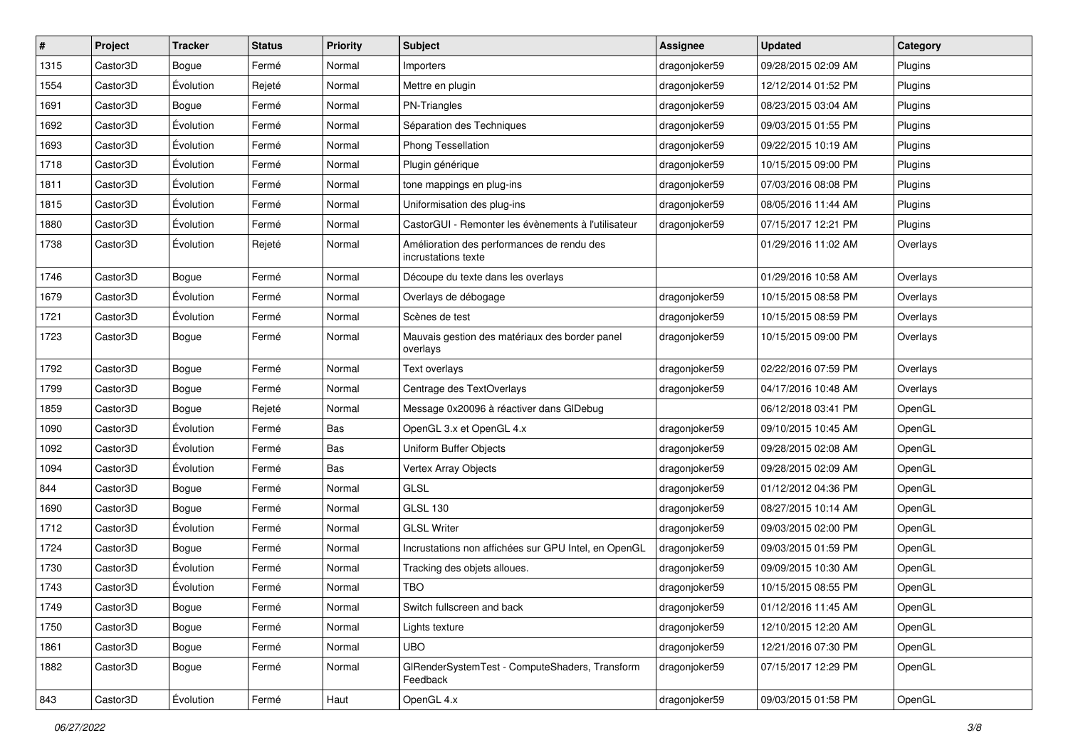| $\sharp$ | Project  | <b>Tracker</b> | <b>Status</b> | <b>Priority</b> | <b>Subject</b>                                                    | <b>Assignee</b> | <b>Updated</b>      | Category |
|----------|----------|----------------|---------------|-----------------|-------------------------------------------------------------------|-----------------|---------------------|----------|
| 1315     | Castor3D | Bogue          | Fermé         | Normal          | Importers                                                         | dragonjoker59   | 09/28/2015 02:09 AM | Plugins  |
| 1554     | Castor3D | Évolution      | Rejeté        | Normal          | Mettre en plugin                                                  | dragonjoker59   | 12/12/2014 01:52 PM | Plugins  |
| 1691     | Castor3D | Bogue          | Fermé         | Normal          | PN-Triangles                                                      | dragonjoker59   | 08/23/2015 03:04 AM | Plugins  |
| 1692     | Castor3D | Évolution      | Fermé         | Normal          | Séparation des Techniques                                         | dragonjoker59   | 09/03/2015 01:55 PM | Plugins  |
| 1693     | Castor3D | Évolution      | Fermé         | Normal          | Phong Tessellation                                                | dragonjoker59   | 09/22/2015 10:19 AM | Plugins  |
| 1718     | Castor3D | Évolution      | Fermé         | Normal          | Plugin générique                                                  | dragonjoker59   | 10/15/2015 09:00 PM | Plugins  |
| 1811     | Castor3D | Évolution      | Fermé         | Normal          | tone mappings en plug-ins                                         | dragonjoker59   | 07/03/2016 08:08 PM | Plugins  |
| 1815     | Castor3D | Évolution      | Fermé         | Normal          | Uniformisation des plug-ins                                       | dragonjoker59   | 08/05/2016 11:44 AM | Plugins  |
| 1880     | Castor3D | Évolution      | Fermé         | Normal          | CastorGUI - Remonter les évènements à l'utilisateur               | dragonjoker59   | 07/15/2017 12:21 PM | Plugins  |
| 1738     | Castor3D | Évolution      | Rejeté        | Normal          | Amélioration des performances de rendu des<br>incrustations texte |                 | 01/29/2016 11:02 AM | Overlays |
| 1746     | Castor3D | Bogue          | Fermé         | Normal          | Découpe du texte dans les overlays                                |                 | 01/29/2016 10:58 AM | Overlays |
| 1679     | Castor3D | Évolution      | Fermé         | Normal          | Overlays de débogage                                              | dragonjoker59   | 10/15/2015 08:58 PM | Overlays |
| 1721     | Castor3D | Évolution      | Fermé         | Normal          | Scènes de test                                                    | dragonjoker59   | 10/15/2015 08:59 PM | Overlays |
| 1723     | Castor3D | Bogue          | Fermé         | Normal          | Mauvais gestion des matériaux des border panel<br>overlays        | dragonjoker59   | 10/15/2015 09:00 PM | Overlays |
| 1792     | Castor3D | Bogue          | Fermé         | Normal          | Text overlays                                                     | dragonjoker59   | 02/22/2016 07:59 PM | Overlays |
| 1799     | Castor3D | Bogue          | Fermé         | Normal          | Centrage des TextOverlays                                         | dragonjoker59   | 04/17/2016 10:48 AM | Overlays |
| 1859     | Castor3D | Bogue          | Rejeté        | Normal          | Message 0x20096 à réactiver dans GIDebug                          |                 | 06/12/2018 03:41 PM | OpenGL   |
| 1090     | Castor3D | Évolution      | Fermé         | Bas             | OpenGL 3.x et OpenGL 4.x                                          | dragonjoker59   | 09/10/2015 10:45 AM | OpenGL   |
| 1092     | Castor3D | Évolution      | Fermé         | Bas             | Uniform Buffer Objects                                            | dragonjoker59   | 09/28/2015 02:08 AM | OpenGL   |
| 1094     | Castor3D | Évolution      | Fermé         | Bas             | Vertex Array Objects                                              | dragonjoker59   | 09/28/2015 02:09 AM | OpenGL   |
| 844      | Castor3D | Bogue          | Fermé         | Normal          | <b>GLSL</b>                                                       | dragonjoker59   | 01/12/2012 04:36 PM | OpenGL   |
| 1690     | Castor3D | Bogue          | Fermé         | Normal          | <b>GLSL 130</b>                                                   | dragonjoker59   | 08/27/2015 10:14 AM | OpenGL   |
| 1712     | Castor3D | Évolution      | Fermé         | Normal          | <b>GLSL Writer</b>                                                | dragonjoker59   | 09/03/2015 02:00 PM | OpenGL   |
| 1724     | Castor3D | Bogue          | Fermé         | Normal          | Incrustations non affichées sur GPU Intel, en OpenGL              | dragonjoker59   | 09/03/2015 01:59 PM | OpenGL   |
| 1730     | Castor3D | Évolution      | Fermé         | Normal          | Tracking des objets alloues.                                      | dragonjoker59   | 09/09/2015 10:30 AM | OpenGL   |
| 1743     | Castor3D | Évolution      | Fermé         | Normal          | TBO                                                               | dragonjoker59   | 10/15/2015 08:55 PM | OpenGL   |
| 1749     | Castor3D | Bogue          | Fermé         | Normal          | Switch fullscreen and back                                        | dragonjoker59   | 01/12/2016 11:45 AM | OpenGL   |
| 1750     | Castor3D | Bogue          | Fermé         | Normal          | Lights texture                                                    | dragonjoker59   | 12/10/2015 12:20 AM | OpenGL   |
| 1861     | Castor3D | Bogue          | Fermé         | Normal          | <b>UBO</b>                                                        | dragonjoker59   | 12/21/2016 07:30 PM | OpenGL   |
| 1882     | Castor3D | Bogue          | Fermé         | Normal          | GIRenderSystemTest - ComputeShaders, Transform<br>Feedback        | dragonjoker59   | 07/15/2017 12:29 PM | OpenGL   |
| 843      | Castor3D | Évolution      | Fermé         | Haut            | OpenGL 4.x                                                        | dragonjoker59   | 09/03/2015 01:58 PM | OpenGL   |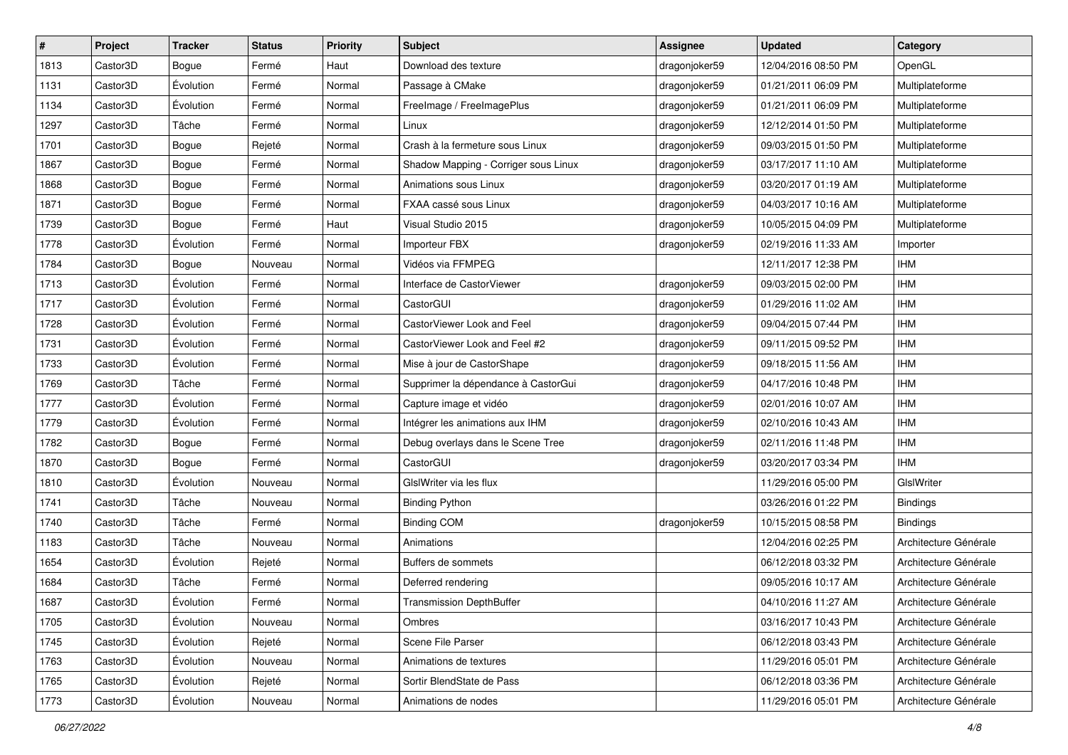| #    | Project  | <b>Tracker</b> | <b>Status</b> | <b>Priority</b> | Subject                              | <b>Assignee</b> | <b>Updated</b>      | Category              |
|------|----------|----------------|---------------|-----------------|--------------------------------------|-----------------|---------------------|-----------------------|
| 1813 | Castor3D | Bogue          | Fermé         | Haut            | Download des texture                 | dragonjoker59   | 12/04/2016 08:50 PM | OpenGL                |
| 1131 | Castor3D | Évolution      | Fermé         | Normal          | Passage à CMake                      | dragonjoker59   | 01/21/2011 06:09 PM | Multiplateforme       |
| 1134 | Castor3D | Évolution      | Fermé         | Normal          | FreeImage / FreeImagePlus            | dragonjoker59   | 01/21/2011 06:09 PM | Multiplateforme       |
| 1297 | Castor3D | Tâche          | Fermé         | Normal          | Linux                                | dragonjoker59   | 12/12/2014 01:50 PM | Multiplateforme       |
| 1701 | Castor3D | <b>Bogue</b>   | Rejeté        | Normal          | Crash à la fermeture sous Linux      | dragonjoker59   | 09/03/2015 01:50 PM | Multiplateforme       |
| 1867 | Castor3D | Bogue          | Fermé         | Normal          | Shadow Mapping - Corriger sous Linux | dragonjoker59   | 03/17/2017 11:10 AM | Multiplateforme       |
| 1868 | Castor3D | Bogue          | Fermé         | Normal          | Animations sous Linux                | dragonjoker59   | 03/20/2017 01:19 AM | Multiplateforme       |
| 1871 | Castor3D | Bogue          | Fermé         | Normal          | FXAA cassé sous Linux                | dragonjoker59   | 04/03/2017 10:16 AM | Multiplateforme       |
| 1739 | Castor3D | Bogue          | Fermé         | Haut            | Visual Studio 2015                   | dragonjoker59   | 10/05/2015 04:09 PM | Multiplateforme       |
| 1778 | Castor3D | Évolution      | Fermé         | Normal          | Importeur FBX                        | dragonjoker59   | 02/19/2016 11:33 AM | Importer              |
| 1784 | Castor3D | Bogue          | Nouveau       | Normal          | Vidéos via FFMPEG                    |                 | 12/11/2017 12:38 PM | <b>IHM</b>            |
| 1713 | Castor3D | Évolution      | Fermé         | Normal          | Interface de CastorViewer            | dragonjoker59   | 09/03/2015 02:00 PM | <b>IHM</b>            |
| 1717 | Castor3D | Évolution      | Fermé         | Normal          | CastorGUI                            | dragonjoker59   | 01/29/2016 11:02 AM | <b>IHM</b>            |
| 1728 | Castor3D | Évolution      | Fermé         | Normal          | CastorViewer Look and Feel           | dragonjoker59   | 09/04/2015 07:44 PM | <b>IHM</b>            |
| 1731 | Castor3D | Évolution      | Fermé         | Normal          | CastorViewer Look and Feel #2        | dragonjoker59   | 09/11/2015 09:52 PM | <b>IHM</b>            |
| 1733 | Castor3D | Évolution      | Fermé         | Normal          | Mise à jour de CastorShape           | dragonjoker59   | 09/18/2015 11:56 AM | <b>IHM</b>            |
| 1769 | Castor3D | Tâche          | Fermé         | Normal          | Supprimer la dépendance à CastorGui  | dragonjoker59   | 04/17/2016 10:48 PM | <b>IHM</b>            |
| 1777 | Castor3D | Évolution      | Fermé         | Normal          | Capture image et vidéo               | dragonjoker59   | 02/01/2016 10:07 AM | <b>IHM</b>            |
| 1779 | Castor3D | Évolution      | Fermé         | Normal          | Intégrer les animations aux IHM      | dragonjoker59   | 02/10/2016 10:43 AM | <b>IHM</b>            |
| 1782 | Castor3D | <b>Bogue</b>   | Fermé         | Normal          | Debug overlays dans le Scene Tree    | dragonjoker59   | 02/11/2016 11:48 PM | <b>IHM</b>            |
| 1870 | Castor3D | Bogue          | Fermé         | Normal          | CastorGUI                            | dragonjoker59   | 03/20/2017 03:34 PM | <b>IHM</b>            |
| 1810 | Castor3D | Évolution      | Nouveau       | Normal          | GIsIWriter via les flux              |                 | 11/29/2016 05:00 PM | GIslWriter            |
| 1741 | Castor3D | Tâche          | Nouveau       | Normal          | <b>Binding Python</b>                |                 | 03/26/2016 01:22 PM | <b>Bindings</b>       |
| 1740 | Castor3D | Tâche          | Fermé         | Normal          | <b>Binding COM</b>                   | dragonjoker59   | 10/15/2015 08:58 PM | <b>Bindings</b>       |
| 1183 | Castor3D | Tâche          | Nouveau       | Normal          | Animations                           |                 | 12/04/2016 02:25 PM | Architecture Générale |
| 1654 | Castor3D | Évolution      | Rejeté        | Normal          | Buffers de sommets                   |                 | 06/12/2018 03:32 PM | Architecture Générale |
| 1684 | Castor3D | Tâche          | Fermé         | Normal          | Deferred rendering                   |                 | 09/05/2016 10:17 AM | Architecture Générale |
| 1687 | Castor3D | Évolution      | Fermé         | Normal          | <b>Transmission DepthBuffer</b>      |                 | 04/10/2016 11:27 AM | Architecture Générale |
| 1705 | Castor3D | Évolution      | Nouveau       | Normal          | Ombres                               |                 | 03/16/2017 10:43 PM | Architecture Générale |
| 1745 | Castor3D | Évolution      | Rejeté        | Normal          | Scene File Parser                    |                 | 06/12/2018 03:43 PM | Architecture Générale |
| 1763 | Castor3D | Évolution      | Nouveau       | Normal          | Animations de textures               |                 | 11/29/2016 05:01 PM | Architecture Générale |
| 1765 | Castor3D | Évolution      | Rejeté        | Normal          | Sortir BlendState de Pass            |                 | 06/12/2018 03:36 PM | Architecture Générale |
| 1773 | Castor3D | Évolution      | Nouveau       | Normal          | Animations de nodes                  |                 | 11/29/2016 05:01 PM | Architecture Générale |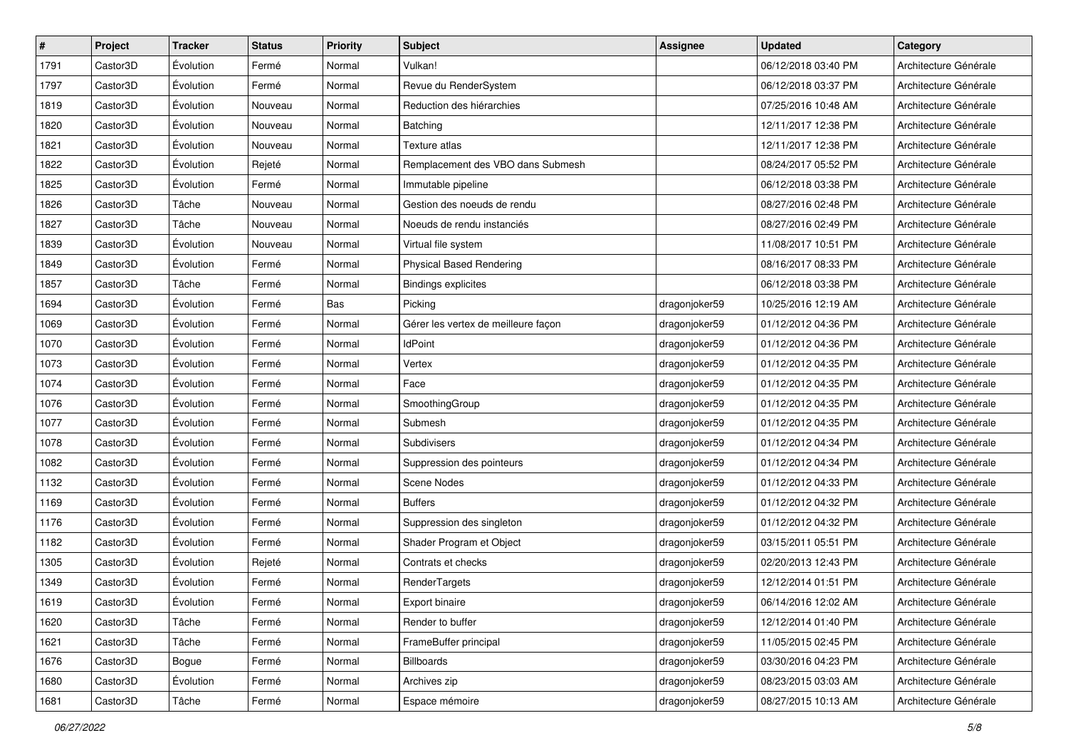| $\sharp$ | Project  | <b>Tracker</b> | <b>Status</b> | Priority | <b>Subject</b>                      | <b>Assignee</b> | <b>Updated</b>      | Category              |
|----------|----------|----------------|---------------|----------|-------------------------------------|-----------------|---------------------|-----------------------|
| 1791     | Castor3D | Évolution      | Fermé         | Normal   | Vulkan!                             |                 | 06/12/2018 03:40 PM | Architecture Générale |
| 1797     | Castor3D | Évolution      | Fermé         | Normal   | Revue du RenderSystem               |                 | 06/12/2018 03:37 PM | Architecture Générale |
| 1819     | Castor3D | Évolution      | Nouveau       | Normal   | Reduction des hiérarchies           |                 | 07/25/2016 10:48 AM | Architecture Générale |
| 1820     | Castor3D | Évolution      | Nouveau       | Normal   | Batching                            |                 | 12/11/2017 12:38 PM | Architecture Générale |
| 1821     | Castor3D | Évolution      | Nouveau       | Normal   | Texture atlas                       |                 | 12/11/2017 12:38 PM | Architecture Générale |
| 1822     | Castor3D | Évolution      | Rejeté        | Normal   | Remplacement des VBO dans Submesh   |                 | 08/24/2017 05:52 PM | Architecture Générale |
| 1825     | Castor3D | Évolution      | Fermé         | Normal   | Immutable pipeline                  |                 | 06/12/2018 03:38 PM | Architecture Générale |
| 1826     | Castor3D | Tâche          | Nouveau       | Normal   | Gestion des noeuds de rendu         |                 | 08/27/2016 02:48 PM | Architecture Générale |
| 1827     | Castor3D | Tâche          | Nouveau       | Normal   | Noeuds de rendu instanciés          |                 | 08/27/2016 02:49 PM | Architecture Générale |
| 1839     | Castor3D | Évolution      | Nouveau       | Normal   | Virtual file system                 |                 | 11/08/2017 10:51 PM | Architecture Générale |
| 1849     | Castor3D | Évolution      | Fermé         | Normal   | <b>Physical Based Rendering</b>     |                 | 08/16/2017 08:33 PM | Architecture Générale |
| 1857     | Castor3D | Tâche          | Fermé         | Normal   | <b>Bindings explicites</b>          |                 | 06/12/2018 03:38 PM | Architecture Générale |
| 1694     | Castor3D | Évolution      | Fermé         | Bas      | Picking                             | dragonjoker59   | 10/25/2016 12:19 AM | Architecture Générale |
| 1069     | Castor3D | Évolution      | Fermé         | Normal   | Gérer les vertex de meilleure façon | dragonjoker59   | 01/12/2012 04:36 PM | Architecture Générale |
| 1070     | Castor3D | Évolution      | Fermé         | Normal   | <b>IdPoint</b>                      | dragonjoker59   | 01/12/2012 04:36 PM | Architecture Générale |
| 1073     | Castor3D | Évolution      | Fermé         | Normal   | Vertex                              | dragonjoker59   | 01/12/2012 04:35 PM | Architecture Générale |
| 1074     | Castor3D | Évolution      | Fermé         | Normal   | Face                                | dragonjoker59   | 01/12/2012 04:35 PM | Architecture Générale |
| 1076     | Castor3D | Évolution      | Fermé         | Normal   | SmoothingGroup                      | dragonjoker59   | 01/12/2012 04:35 PM | Architecture Générale |
| 1077     | Castor3D | Évolution      | Fermé         | Normal   | Submesh                             | dragonjoker59   | 01/12/2012 04:35 PM | Architecture Générale |
| 1078     | Castor3D | Évolution      | Fermé         | Normal   | Subdivisers                         | dragonjoker59   | 01/12/2012 04:34 PM | Architecture Générale |
| 1082     | Castor3D | Évolution      | Fermé         | Normal   | Suppression des pointeurs           | dragonjoker59   | 01/12/2012 04:34 PM | Architecture Générale |
| 1132     | Castor3D | Évolution      | Fermé         | Normal   | Scene Nodes                         | dragonjoker59   | 01/12/2012 04:33 PM | Architecture Générale |
| 1169     | Castor3D | Évolution      | Fermé         | Normal   | <b>Buffers</b>                      | dragonjoker59   | 01/12/2012 04:32 PM | Architecture Générale |
| 1176     | Castor3D | Évolution      | Fermé         | Normal   | Suppression des singleton           | dragonjoker59   | 01/12/2012 04:32 PM | Architecture Générale |
| 1182     | Castor3D | Évolution      | Fermé         | Normal   | Shader Program et Object            | dragonjoker59   | 03/15/2011 05:51 PM | Architecture Générale |
| 1305     | Castor3D | Évolution      | Rejeté        | Normal   | Contrats et checks                  | dragonjoker59   | 02/20/2013 12:43 PM | Architecture Générale |
| 1349     | Castor3D | Évolution      | Fermé         | Normal   | RenderTargets                       | dragonjoker59   | 12/12/2014 01:51 PM | Architecture Générale |
| 1619     | Castor3D | Évolution      | Fermé         | Normal   | Export binaire                      | dragonjoker59   | 06/14/2016 12:02 AM | Architecture Générale |
| 1620     | Castor3D | Tâche          | Fermé         | Normal   | Render to buffer                    | dragonjoker59   | 12/12/2014 01:40 PM | Architecture Générale |
| 1621     | Castor3D | Tâche          | Fermé         | Normal   | FrameBuffer principal               | dragonjoker59   | 11/05/2015 02:45 PM | Architecture Générale |
| 1676     | Castor3D | Bogue          | Fermé         | Normal   | <b>Billboards</b>                   | dragonjoker59   | 03/30/2016 04:23 PM | Architecture Générale |
| 1680     | Castor3D | Évolution      | Fermé         | Normal   | Archives zip                        | dragonjoker59   | 08/23/2015 03:03 AM | Architecture Générale |
| 1681     | Castor3D | Tâche          | Fermé         | Normal   | Espace mémoire                      | dragonjoker59   | 08/27/2015 10:13 AM | Architecture Générale |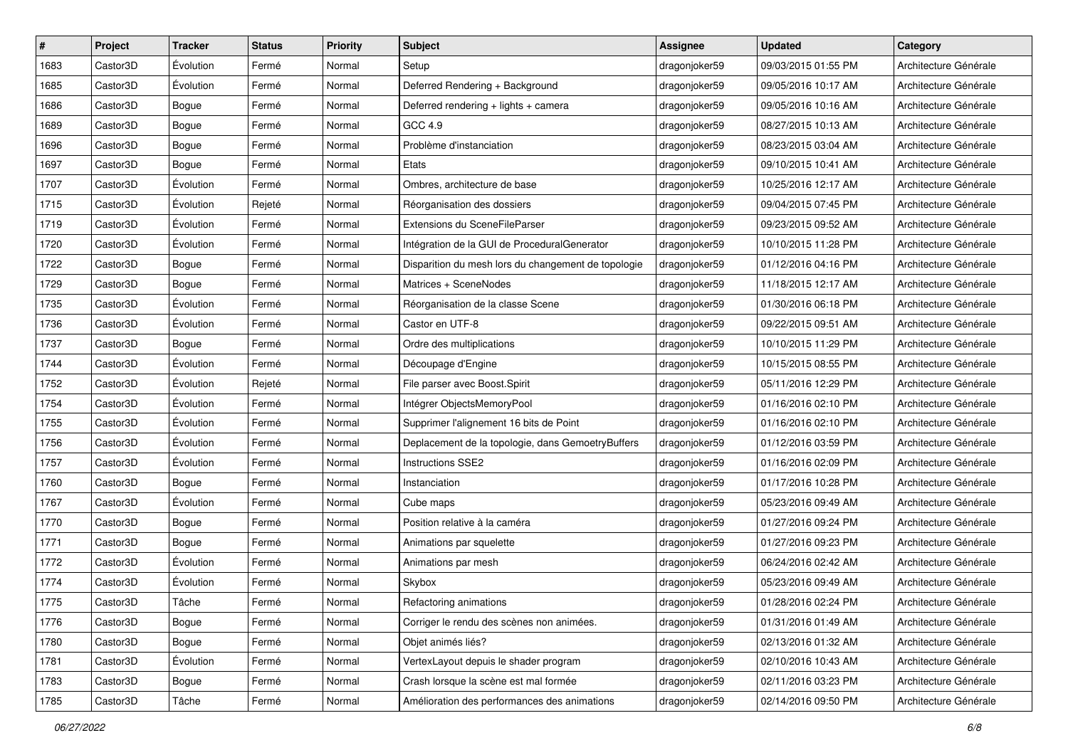| #    | Project  | <b>Tracker</b> | <b>Status</b> | <b>Priority</b> | Subject                                             | <b>Assignee</b> | <b>Updated</b>      | Category              |
|------|----------|----------------|---------------|-----------------|-----------------------------------------------------|-----------------|---------------------|-----------------------|
| 1683 | Castor3D | Évolution      | Fermé         | Normal          | Setup                                               | dragonjoker59   | 09/03/2015 01:55 PM | Architecture Générale |
| 1685 | Castor3D | Évolution      | Fermé         | Normal          | Deferred Rendering + Background                     | dragonjoker59   | 09/05/2016 10:17 AM | Architecture Générale |
| 1686 | Castor3D | Bogue          | Fermé         | Normal          | Deferred rendering + lights + camera                | dragonjoker59   | 09/05/2016 10:16 AM | Architecture Générale |
| 1689 | Castor3D | Bogue          | Fermé         | Normal          | GCC 4.9                                             | dragonjoker59   | 08/27/2015 10:13 AM | Architecture Générale |
| 1696 | Castor3D | Bogue          | Fermé         | Normal          | Problème d'instanciation                            | dragonjoker59   | 08/23/2015 03:04 AM | Architecture Générale |
| 1697 | Castor3D | Bogue          | Fermé         | Normal          | Etats                                               | dragonjoker59   | 09/10/2015 10:41 AM | Architecture Générale |
| 1707 | Castor3D | Évolution      | Fermé         | Normal          | Ombres, architecture de base                        | dragonjoker59   | 10/25/2016 12:17 AM | Architecture Générale |
| 1715 | Castor3D | Évolution      | Rejeté        | Normal          | Réorganisation des dossiers                         | dragonjoker59   | 09/04/2015 07:45 PM | Architecture Générale |
| 1719 | Castor3D | Évolution      | Fermé         | Normal          | Extensions du SceneFileParser                       | dragonjoker59   | 09/23/2015 09:52 AM | Architecture Générale |
| 1720 | Castor3D | Évolution      | Fermé         | Normal          | Intégration de la GUI de ProceduralGenerator        | dragonjoker59   | 10/10/2015 11:28 PM | Architecture Générale |
| 1722 | Castor3D | Bogue          | Fermé         | Normal          | Disparition du mesh lors du changement de topologie | dragonjoker59   | 01/12/2016 04:16 PM | Architecture Générale |
| 1729 | Castor3D | Bogue          | Fermé         | Normal          | Matrices + SceneNodes                               | dragonjoker59   | 11/18/2015 12:17 AM | Architecture Générale |
| 1735 | Castor3D | Évolution      | Fermé         | Normal          | Réorganisation de la classe Scene                   | dragonjoker59   | 01/30/2016 06:18 PM | Architecture Générale |
| 1736 | Castor3D | Évolution      | Fermé         | Normal          | Castor en UTF-8                                     | dragonjoker59   | 09/22/2015 09:51 AM | Architecture Générale |
| 1737 | Castor3D | <b>Bogue</b>   | Fermé         | Normal          | Ordre des multiplications                           | dragonjoker59   | 10/10/2015 11:29 PM | Architecture Générale |
| 1744 | Castor3D | Évolution      | Fermé         | Normal          | Découpage d'Engine                                  | dragonjoker59   | 10/15/2015 08:55 PM | Architecture Générale |
| 1752 | Castor3D | Évolution      | Rejeté        | Normal          | File parser avec Boost.Spirit                       | dragonjoker59   | 05/11/2016 12:29 PM | Architecture Générale |
| 1754 | Castor3D | Évolution      | Fermé         | Normal          | Intégrer ObjectsMemoryPool                          | dragonjoker59   | 01/16/2016 02:10 PM | Architecture Générale |
| 1755 | Castor3D | Évolution      | Fermé         | Normal          | Supprimer l'alignement 16 bits de Point             | dragonjoker59   | 01/16/2016 02:10 PM | Architecture Générale |
| 1756 | Castor3D | Évolution      | Fermé         | Normal          | Deplacement de la topologie, dans GemoetryBuffers   | dragonjoker59   | 01/12/2016 03:59 PM | Architecture Générale |
| 1757 | Castor3D | Évolution      | Fermé         | Normal          | Instructions SSE2                                   | dragonjoker59   | 01/16/2016 02:09 PM | Architecture Générale |
| 1760 | Castor3D | Bogue          | Fermé         | Normal          | Instanciation                                       | dragonjoker59   | 01/17/2016 10:28 PM | Architecture Générale |
| 1767 | Castor3D | Évolution      | Fermé         | Normal          | Cube maps                                           | dragonjoker59   | 05/23/2016 09:49 AM | Architecture Générale |
| 1770 | Castor3D | Bogue          | Fermé         | Normal          | Position relative à la caméra                       | dragonjoker59   | 01/27/2016 09:24 PM | Architecture Générale |
| 1771 | Castor3D | Bogue          | Fermé         | Normal          | Animations par squelette                            | dragonjoker59   | 01/27/2016 09:23 PM | Architecture Générale |
| 1772 | Castor3D | Évolution      | Fermé         | Normal          | Animations par mesh                                 | dragonjoker59   | 06/24/2016 02:42 AM | Architecture Générale |
| 1774 | Castor3D | Évolution      | Fermé         | Normal          | Skybox                                              | dragonjoker59   | 05/23/2016 09:49 AM | Architecture Générale |
| 1775 | Castor3D | Tâche          | Fermé         | Normal          | Refactoring animations                              | dragonjoker59   | 01/28/2016 02:24 PM | Architecture Générale |
| 1776 | Castor3D | Bogue          | Fermé         | Normal          | Corriger le rendu des scènes non animées.           | dragonjoker59   | 01/31/2016 01:49 AM | Architecture Générale |
| 1780 | Castor3D | Bogue          | Fermé         | Normal          | Objet animés liés?                                  | dragonjoker59   | 02/13/2016 01:32 AM | Architecture Générale |
| 1781 | Castor3D | Évolution      | Fermé         | Normal          | VertexLayout depuis le shader program               | dragonjoker59   | 02/10/2016 10:43 AM | Architecture Générale |
| 1783 | Castor3D | Bogue          | Fermé         | Normal          | Crash lorsque la scène est mal formée               | dragonjoker59   | 02/11/2016 03:23 PM | Architecture Générale |
| 1785 | Castor3D | Tâche          | Fermé         | Normal          | Amélioration des performances des animations        | dragonjoker59   | 02/14/2016 09:50 PM | Architecture Générale |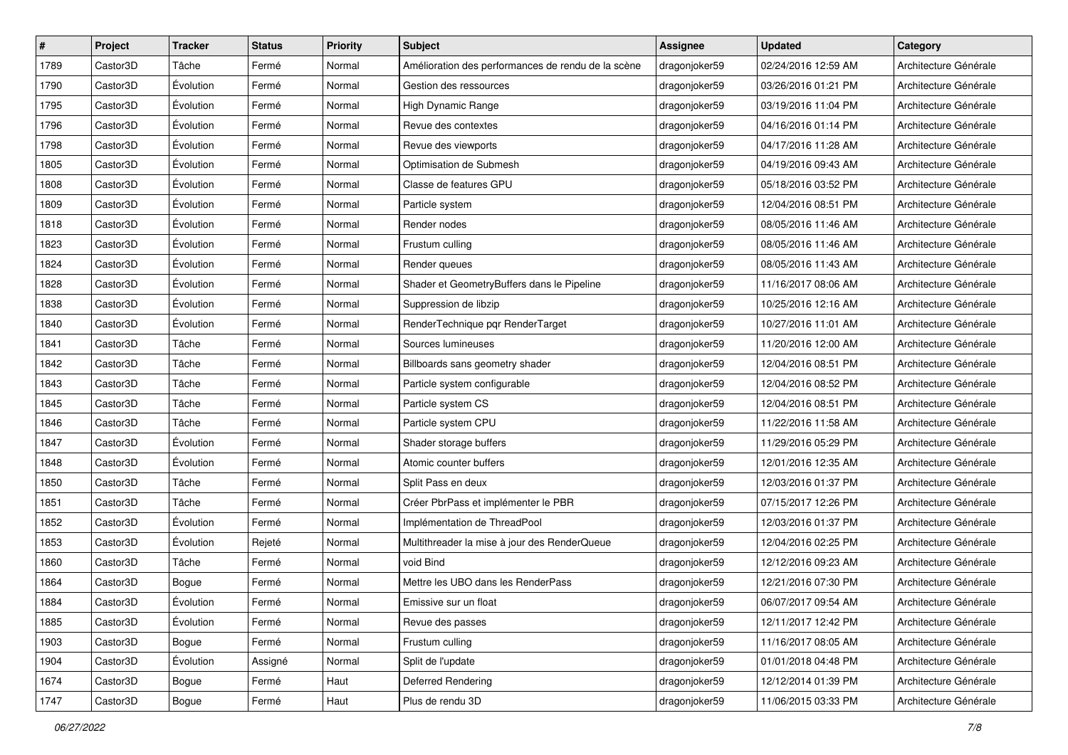| #    | Project  | <b>Tracker</b> | <b>Status</b> | Priority | Subject                                            | <b>Assignee</b> | <b>Updated</b>      | Category              |
|------|----------|----------------|---------------|----------|----------------------------------------------------|-----------------|---------------------|-----------------------|
| 1789 | Castor3D | Tâche          | Fermé         | Normal   | Amélioration des performances de rendu de la scène | dragonjoker59   | 02/24/2016 12:59 AM | Architecture Générale |
| 1790 | Castor3D | Évolution      | Fermé         | Normal   | Gestion des ressources                             | dragonjoker59   | 03/26/2016 01:21 PM | Architecture Générale |
| 1795 | Castor3D | Évolution      | Fermé         | Normal   | High Dynamic Range                                 | dragonjoker59   | 03/19/2016 11:04 PM | Architecture Générale |
| 1796 | Castor3D | Évolution      | Fermé         | Normal   | Revue des contextes                                | dragonjoker59   | 04/16/2016 01:14 PM | Architecture Générale |
| 1798 | Castor3D | Évolution      | Fermé         | Normal   | Revue des viewports                                | dragonjoker59   | 04/17/2016 11:28 AM | Architecture Générale |
| 1805 | Castor3D | Évolution      | Fermé         | Normal   | Optimisation de Submesh                            | dragonjoker59   | 04/19/2016 09:43 AM | Architecture Générale |
| 1808 | Castor3D | Évolution      | Fermé         | Normal   | Classe de features GPU                             | dragonjoker59   | 05/18/2016 03:52 PM | Architecture Générale |
| 1809 | Castor3D | Évolution      | Fermé         | Normal   | Particle system                                    | dragonjoker59   | 12/04/2016 08:51 PM | Architecture Générale |
| 1818 | Castor3D | Évolution      | Fermé         | Normal   | Render nodes                                       | dragonjoker59   | 08/05/2016 11:46 AM | Architecture Générale |
| 1823 | Castor3D | Évolution      | Fermé         | Normal   | Frustum culling                                    | dragonjoker59   | 08/05/2016 11:46 AM | Architecture Générale |
| 1824 | Castor3D | Évolution      | Fermé         | Normal   | Render queues                                      | dragonjoker59   | 08/05/2016 11:43 AM | Architecture Générale |
| 1828 | Castor3D | Évolution      | Fermé         | Normal   | Shader et GeometryBuffers dans le Pipeline         | dragonjoker59   | 11/16/2017 08:06 AM | Architecture Générale |
| 1838 | Castor3D | Évolution      | Fermé         | Normal   | Suppression de libzip                              | dragonjoker59   | 10/25/2016 12:16 AM | Architecture Générale |
| 1840 | Castor3D | Évolution      | Fermé         | Normal   | RenderTechnique pqr RenderTarget                   | dragonjoker59   | 10/27/2016 11:01 AM | Architecture Générale |
| 1841 | Castor3D | Tâche          | Fermé         | Normal   | Sources lumineuses                                 | dragonjoker59   | 11/20/2016 12:00 AM | Architecture Générale |
| 1842 | Castor3D | Tâche          | Fermé         | Normal   | Billboards sans geometry shader                    | dragonjoker59   | 12/04/2016 08:51 PM | Architecture Générale |
| 1843 | Castor3D | Tâche          | Fermé         | Normal   | Particle system configurable                       | dragonjoker59   | 12/04/2016 08:52 PM | Architecture Générale |
| 1845 | Castor3D | Tâche          | Fermé         | Normal   | Particle system CS                                 | dragonjoker59   | 12/04/2016 08:51 PM | Architecture Générale |
| 1846 | Castor3D | Tâche          | Fermé         | Normal   | Particle system CPU                                | dragonjoker59   | 11/22/2016 11:58 AM | Architecture Générale |
| 1847 | Castor3D | Évolution      | Fermé         | Normal   | Shader storage buffers                             | dragonjoker59   | 11/29/2016 05:29 PM | Architecture Générale |
| 1848 | Castor3D | Évolution      | Fermé         | Normal   | Atomic counter buffers                             | dragonjoker59   | 12/01/2016 12:35 AM | Architecture Générale |
| 1850 | Castor3D | Tâche          | Fermé         | Normal   | Split Pass en deux                                 | dragonjoker59   | 12/03/2016 01:37 PM | Architecture Générale |
| 1851 | Castor3D | Tâche          | Fermé         | Normal   | Créer PbrPass et implémenter le PBR                | dragonjoker59   | 07/15/2017 12:26 PM | Architecture Générale |
| 1852 | Castor3D | Évolution      | Fermé         | Normal   | Implémentation de ThreadPool                       | dragonjoker59   | 12/03/2016 01:37 PM | Architecture Générale |
| 1853 | Castor3D | Évolution      | Rejeté        | Normal   | Multithreader la mise à jour des RenderQueue       | dragonjoker59   | 12/04/2016 02:25 PM | Architecture Générale |
| 1860 | Castor3D | Tâche          | Fermé         | Normal   | void Bind                                          | dragonjoker59   | 12/12/2016 09:23 AM | Architecture Générale |
| 1864 | Castor3D | Bogue          | Fermé         | Normal   | Mettre les UBO dans les RenderPass                 | dragonjoker59   | 12/21/2016 07:30 PM | Architecture Générale |
| 1884 | Castor3D | Évolution      | Fermé         | Normal   | Emissive sur un float                              | dragonjoker59   | 06/07/2017 09:54 AM | Architecture Générale |
| 1885 | Castor3D | Evolution      | Fermé         | Normal   | Revue des passes                                   | dragonjoker59   | 12/11/2017 12:42 PM | Architecture Générale |
| 1903 | Castor3D | Bogue          | Fermé         | Normal   | Frustum culling                                    | dragonjoker59   | 11/16/2017 08:05 AM | Architecture Générale |
| 1904 | Castor3D | Évolution      | Assigné       | Normal   | Split de l'update                                  | dragonjoker59   | 01/01/2018 04:48 PM | Architecture Générale |
| 1674 | Castor3D | Bogue          | Fermé         | Haut     | Deferred Rendering                                 | dragonjoker59   | 12/12/2014 01:39 PM | Architecture Générale |
| 1747 | Castor3D | Bogue          | Fermé         | Haut     | Plus de rendu 3D                                   | dragonjoker59   | 11/06/2015 03:33 PM | Architecture Générale |